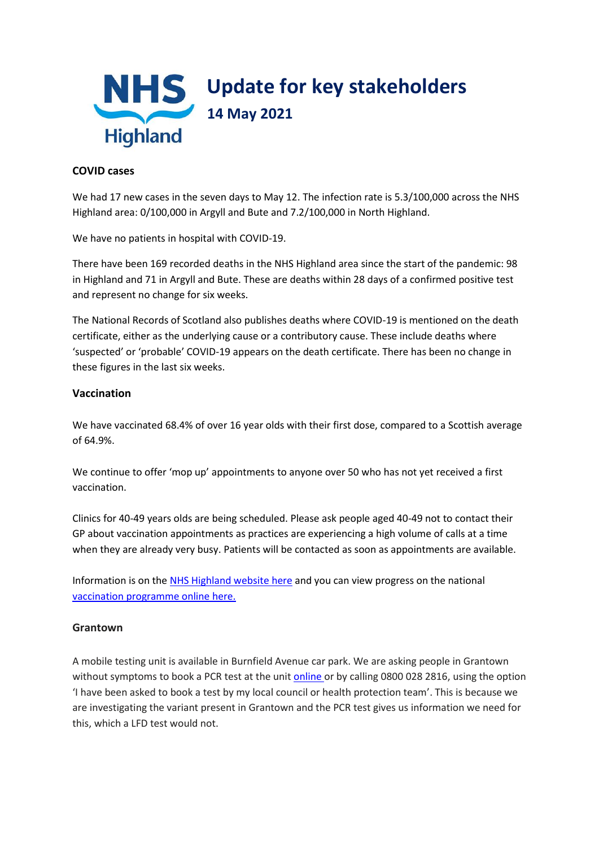

### **COVID cases**

We had 17 new cases in the seven days to May 12. The infection rate is 5.3/100,000 across the NHS Highland area: 0/100,000 in Argyll and Bute and 7.2/100,000 in North Highland.

We have no patients in hospital with COVID-19.

There have been 169 recorded deaths in the NHS Highland area since the start of the pandemic: 98 in Highland and 71 in Argyll and Bute. These are deaths within 28 days of a confirmed positive test and represent no change for six weeks.

The National Records of Scotland also publishes deaths where COVID-19 is mentioned on the death certificate, either as the underlying cause or a contributory cause. These include deaths where 'suspected' or 'probable' COVID-19 appears on the death certificate. There has been no change in these figures in the last six weeks.

### **Vaccination**

We have vaccinated 68.4% of over 16 year olds with their first dose, compared to a Scottish average of 64.9%.

We continue to offer 'mop up' appointments to anyone over 50 who has not yet received a first vaccination.

Clinics for 40-49 years olds are being scheduled. Please ask people aged 40-49 not to contact their GP about vaccination appointments as practices are experiencing a high volume of calls at a time when they are already very busy. Patients will be contacted as soon as appointments are available.

Information is on th[e NHS Highland website here](https://www.nhshighland.scot.nhs.uk/COVID19/Pages/Vaccination.aspx) and you can view progress on the national [vaccination programme online here.](https://public.tableau.com/profile/phs.covid.19#!/vizhome/COVID-19DailyDashboard_15960160643010/Overview)

## **Grantown**

A mobile testing unit is available in Burnfield Avenue car park. We are asking people in Grantown without symptoms to book a PCR test at the unit [online](https://www.nhsinform.scot/illnesses-and-conditions/infections-and-poisoning/coronavirus-covid-19/test-and-protect/coronavirus-covid-19-testing) or by calling 0800 028 2816, using the option 'I have been asked to book a test by my local council or health protection team'. This is because we are investigating the variant present in Grantown and the PCR test gives us information we need for this, which a LFD test would not.